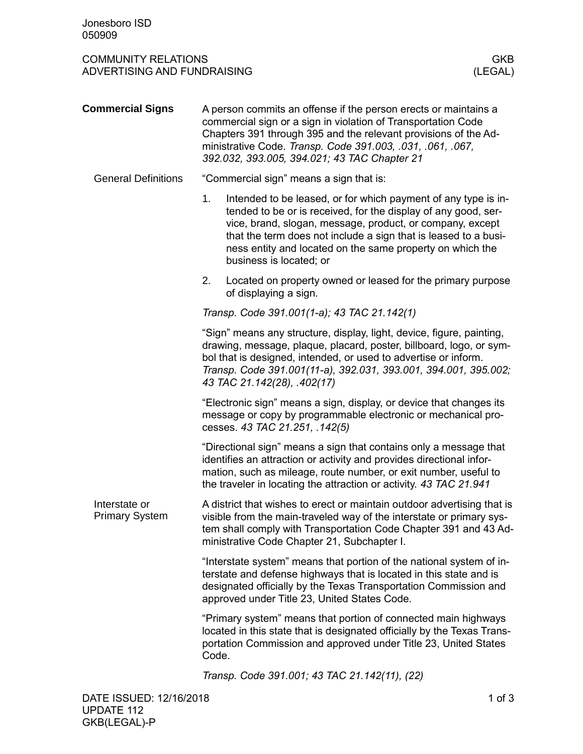## COMMUNITY RELATIONS GKB<br>ADVERTISING AND FUNDRAISING AND AND TRIVIAL SERVICE OF THE MANUSCRIPTION OF THE MANUSCRIPTION OF THE MANUSCRIP ADVERTISING AND FUNDRAISING

| <b>Commercial Signs</b>                | A person commits an offense if the person erects or maintains a<br>commercial sign or a sign in violation of Transportation Code<br>Chapters 391 through 395 and the relevant provisions of the Ad-<br>ministrative Code. Transp. Code 391.003, .031, .061, .067,<br>392.032, 393.005, 394.021; 43 TAC Chapter 21                                              |
|----------------------------------------|----------------------------------------------------------------------------------------------------------------------------------------------------------------------------------------------------------------------------------------------------------------------------------------------------------------------------------------------------------------|
| <b>General Definitions</b>             | "Commercial sign" means a sign that is:                                                                                                                                                                                                                                                                                                                        |
|                                        | 1.<br>Intended to be leased, or for which payment of any type is in-<br>tended to be or is received, for the display of any good, ser-<br>vice, brand, slogan, message, product, or company, except<br>that the term does not include a sign that is leased to a busi-<br>ness entity and located on the same property on which the<br>business is located; or |
|                                        | Located on property owned or leased for the primary purpose<br>2.<br>of displaying a sign.                                                                                                                                                                                                                                                                     |
|                                        | Transp. Code 391.001(1-a); 43 TAC 21.142(1)                                                                                                                                                                                                                                                                                                                    |
|                                        | "Sign" means any structure, display, light, device, figure, painting,<br>drawing, message, plaque, placard, poster, billboard, logo, or sym-<br>bol that is designed, intended, or used to advertise or inform.<br>Transp. Code 391.001(11-a), 392.031, 393.001, 394.001, 395.002;<br>43 TAC 21.142(28), .402(17)                                              |
|                                        | "Electronic sign" means a sign, display, or device that changes its<br>message or copy by programmable electronic or mechanical pro-<br>cesses. 43 TAC 21.251, .142(5)                                                                                                                                                                                         |
|                                        | "Directional sign" means a sign that contains only a message that<br>identifies an attraction or activity and provides directional infor-<br>mation, such as mileage, route number, or exit number, useful to<br>the traveler in locating the attraction or activity. 43 TAC 21.941                                                                            |
| Interstate or<br><b>Primary System</b> | A district that wishes to erect or maintain outdoor advertising that is<br>visible from the main-traveled way of the interstate or primary sys-<br>tem shall comply with Transportation Code Chapter 391 and 43 Ad-<br>ministrative Code Chapter 21, Subchapter I.                                                                                             |
|                                        | "Interstate system" means that portion of the national system of in-<br>terstate and defense highways that is located in this state and is<br>designated officially by the Texas Transportation Commission and<br>approved under Title 23, United States Code.                                                                                                 |
|                                        | "Primary system" means that portion of connected main highways<br>located in this state that is designated officially by the Texas Trans-<br>portation Commission and approved under Title 23, United States<br>Code.                                                                                                                                          |
|                                        | Transp. Code 391.001; 43 TAC 21.142(11), (22)                                                                                                                                                                                                                                                                                                                  |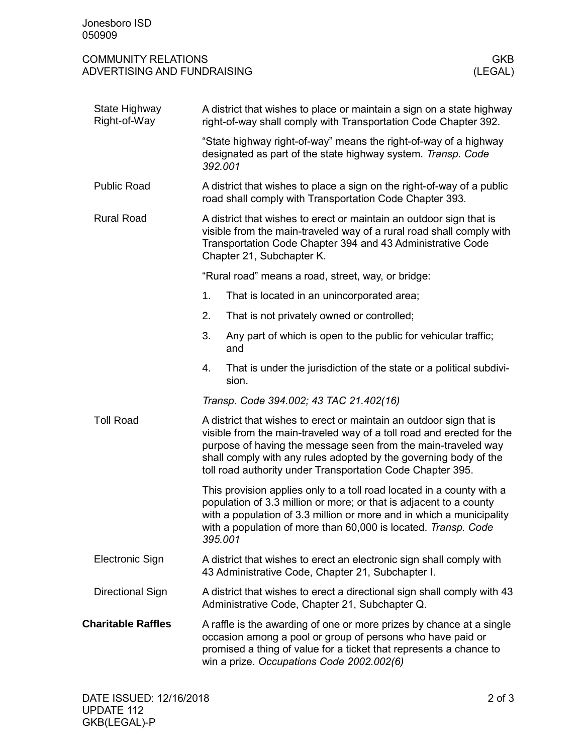## COMMUNITY RELATIONS GKB<br>ADVERTISING AND FUNDRAISING AND AND TRIVIAL SERVICE OF THE MANUSCRIPTION OF THE MANUSCRIPTION OF THE MANUSCRIP ADVERTISING AND FUNDRAISING

| State Highway<br>Right-of-Way | A district that wishes to place or maintain a sign on a state highway<br>right-of-way shall comply with Transportation Code Chapter 392.                                                                                                                                                                                                        |
|-------------------------------|-------------------------------------------------------------------------------------------------------------------------------------------------------------------------------------------------------------------------------------------------------------------------------------------------------------------------------------------------|
|                               | "State highway right-of-way" means the right-of-way of a highway<br>designated as part of the state highway system. Transp. Code<br>392.001                                                                                                                                                                                                     |
| <b>Public Road</b>            | A district that wishes to place a sign on the right-of-way of a public<br>road shall comply with Transportation Code Chapter 393.                                                                                                                                                                                                               |
| <b>Rural Road</b>             | A district that wishes to erect or maintain an outdoor sign that is<br>visible from the main-traveled way of a rural road shall comply with<br>Transportation Code Chapter 394 and 43 Administrative Code<br>Chapter 21, Subchapter K.                                                                                                          |
|                               | "Rural road" means a road, street, way, or bridge:                                                                                                                                                                                                                                                                                              |
|                               | 1.<br>That is located in an unincorporated area;                                                                                                                                                                                                                                                                                                |
|                               | 2.<br>That is not privately owned or controlled;                                                                                                                                                                                                                                                                                                |
|                               | 3.<br>Any part of which is open to the public for vehicular traffic;<br>and                                                                                                                                                                                                                                                                     |
|                               | That is under the jurisdiction of the state or a political subdivi-<br>4.<br>sion.                                                                                                                                                                                                                                                              |
|                               | Transp. Code 394.002; 43 TAC 21.402(16)                                                                                                                                                                                                                                                                                                         |
| <b>Toll Road</b>              | A district that wishes to erect or maintain an outdoor sign that is<br>visible from the main-traveled way of a toll road and erected for the<br>purpose of having the message seen from the main-traveled way<br>shall comply with any rules adopted by the governing body of the<br>toll road authority under Transportation Code Chapter 395. |
|                               | This provision applies only to a toll road located in a county with a<br>population of 3.3 million or more; or that is adjacent to a county<br>with a population of 3.3 million or more and in which a municipality<br>with a population of more than 60,000 is located. Transp. Code<br>395.001                                                |
| Electronic Sign               | A district that wishes to erect an electronic sign shall comply with<br>43 Administrative Code, Chapter 21, Subchapter I.                                                                                                                                                                                                                       |
| Directional Sign              | A district that wishes to erect a directional sign shall comply with 43<br>Administrative Code, Chapter 21, Subchapter Q.                                                                                                                                                                                                                       |
| <b>Charitable Raffles</b>     | A raffle is the awarding of one or more prizes by chance at a single<br>occasion among a pool or group of persons who have paid or<br>promised a thing of value for a ticket that represents a chance to<br>win a prize. Occupations Code 2002.002(6)                                                                                           |